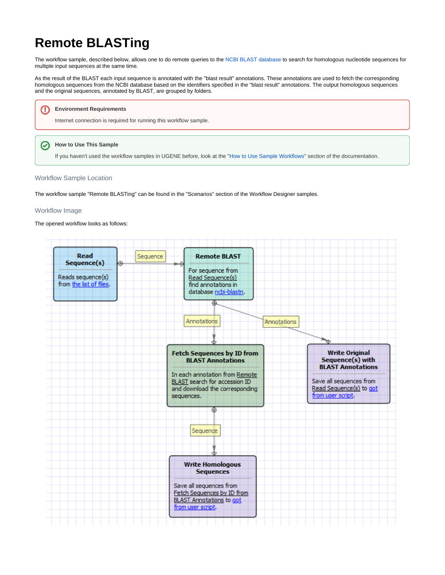# **Remote BLASTing**

The workflow sample, described below, allows one to do remote queries to the [NCBI BLAST database](http://blast.st-va.ncbi.nlm.nih.gov/Blast.cgi) to search for homologous nucleotide sequences for multiple input sequences at the same time.

As the result of the BLAST each input sequence is annotated with the "blast result" annotations. These annotations are used to fetch the corresponding homologous sequences from the NCBI database based on the identifiers specified in the "blast result" annotations. The output homologous sequences and the original sequences, annotated by BLAST, are grouped by folders.



If you haven't used the workflow samples in UGENE before, look at the "[How to Use Sample Workflows"](https://doc.ugene.net/wiki/display/UM/How+to+Use+Sample+Workflows) section of the documentation.

#### Workflow Sample Location

The workflow sample "Remote BLASTing" can be found in the "Scenarios" section of the Workflow Designer samples.

#### Workflow Image

The opened workflow looks as follows:

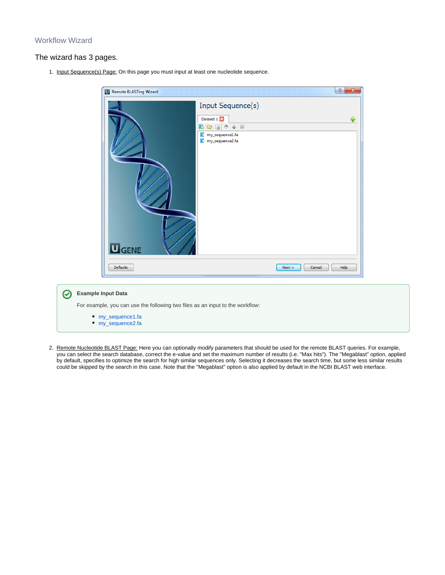### Workflow Wizard

0

#### The wizard has 3 pages.

1. Input Sequence(s) Page: On this page you must input at least one nucleotide sequence.

| <b>U</b> GENE   | Input Sequence(s)<br>Dataset 1<br>4.中国人人类<br><sup>8</sup> my_sequence1.fa<br><sup>2</sup> my_sequence2.fa | ♣                      |
|-----------------|-----------------------------------------------------------------------------------------------------------|------------------------|
| <b>Defaults</b> |                                                                                                           | Next<br>Cancel<br>Help |
|                 |                                                                                                           |                        |

2. Remote Nucleotide BLAST Page: Here you can optionally modify parameters that should be used for the remote BLAST queries. For example, you can select the search database, correct the e-value and set the maximum number of results (i.e. "Max hits"). The "Megablast" option, applied by default, specifies to optimize the search for high similar sequences only. Selecting it decreases the search time, but some less similar results could be skipped by the search in this case. Note that the "Megablast" option is also applied by default in the NCBI BLAST web interface.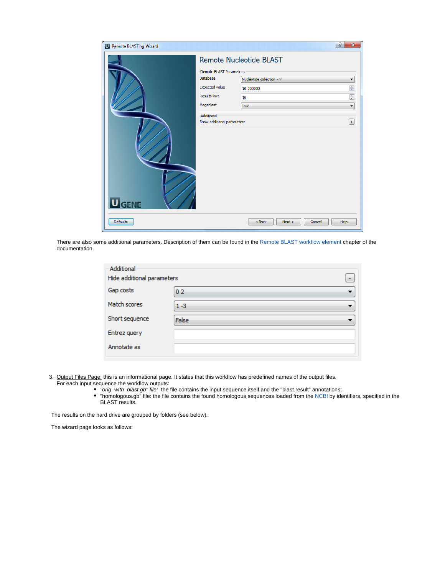| <b>U</b> Remote BLASTing Wizard |                                                                                                                                               |                                                              | ð<br>$\mathbf{x}$                                                                     |
|---------------------------------|-----------------------------------------------------------------------------------------------------------------------------------------------|--------------------------------------------------------------|---------------------------------------------------------------------------------------|
|                                 |                                                                                                                                               | Remote Nucleotide BLAST                                      |                                                                                       |
| <b>U</b> GENE                   | Remote BLAST Parameters<br>Database<br><b>Expected value</b><br><b>Results limit</b><br>Megablast<br>Additional<br>Show additional parameters | Nucleotide collection - nr<br>10.000000<br>10<br><b>True</b> | ۰<br>$\frac{\triangle}{\tau}$<br>$\frac{1}{\tau}$<br>$\blacktriangledown$<br>$^{(+)}$ |
| <b>Defaults</b>                 |                                                                                                                                               | $<$ Back<br>Next<br>Cancel                                   | Help                                                                                  |

There are also some additional parameters. Description of them can be found in the [Remote BLAST workflow element](https://doc.ugene.net/wiki/display/UM/Remote+BLAST+Element) chapter of the documentation.

| Additional<br>Hide additional parameters | ۰                                        |
|------------------------------------------|------------------------------------------|
| Gap costs                                | 02<br>$\overline{\phantom{a}}$           |
| Match scores                             | $1 - 3$<br>$\blacksquare$                |
| Short sequence                           | <b>False</b><br>$\overline{\phantom{a}}$ |
| Entrez query                             |                                          |
| Annotate as                              |                                          |
|                                          |                                          |

3. Output Files Page: this is an informational page. It states that this workflow has predefined names of the output files. For each input sequence the workflow outputs:

- "orig\_with\_blast.gb" file: the file contains the input sequence itself and the "blast result" annotations;
	- "homologous.gb" file: the file contains the found homologous sequences loaded from the [NCBI](http://www.ncbi.nlm.nih.gov/) by identifiers, specified in the BLAST results.

The results on the hard drive are grouped by folders (see below).

The wizard page looks as follows: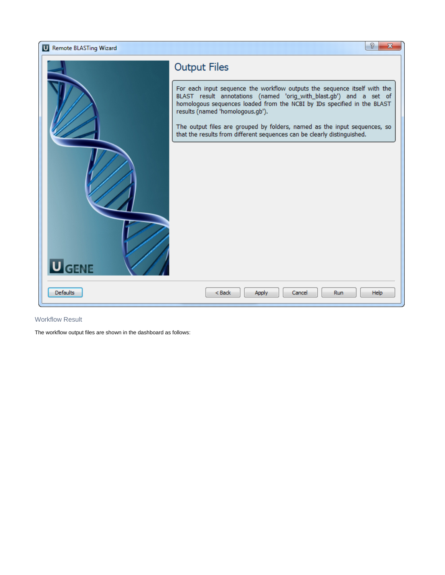

## Workflow Result

The workflow output files are shown in the dashboard as follows: